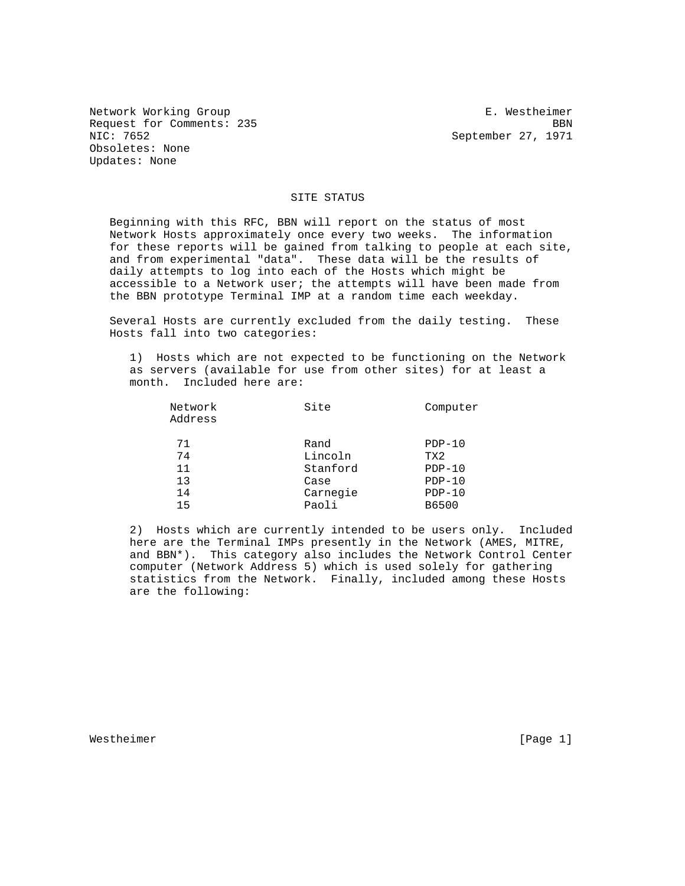Network Working Group **E. Westheimer** E. Westheimer Request for Comments: 235 BBN<br>NIC: 7652 BBN BBN BEN Obsoletes: None Updates: None

September 27, 1971

## SITE STATUS

 Beginning with this RFC, BBN will report on the status of most Network Hosts approximately once every two weeks. The information for these reports will be gained from talking to people at each site, and from experimental "data". These data will be the results of daily attempts to log into each of the Hosts which might be accessible to a Network user; the attempts will have been made from the BBN prototype Terminal IMP at a random time each weekday.

 Several Hosts are currently excluded from the daily testing. These Hosts fall into two categories:

 1) Hosts which are not expected to be functioning on the Network as servers (available for use from other sites) for at least a month. Included here are:

| Network<br>Address | Site     | Computer        |
|--------------------|----------|-----------------|
| 71                 | Rand     | $PDP-10$        |
| 74                 | Lincoln  | TX <sub>2</sub> |
| 11                 | Stanford | $PDP-10$        |
| 13                 | Case     | $PDP-10$        |
| 14                 | Carnegie | $PDP-10$        |
| 15                 | Paoli    | B6500           |
|                    |          |                 |

 2) Hosts which are currently intended to be users only. Included here are the Terminal IMPs presently in the Network (AMES, MITRE, and BBN\*). This category also includes the Network Control Center computer (Network Address 5) which is used solely for gathering statistics from the Network. Finally, included among these Hosts are the following:

Westheimer [Page 1]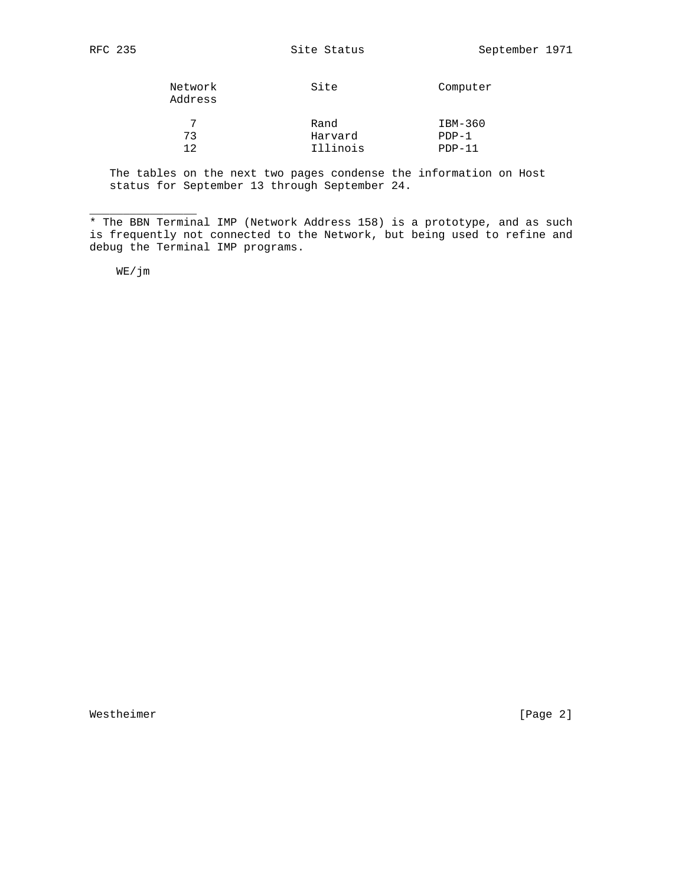| Network<br>Address |    | Site     | Computer |
|--------------------|----|----------|----------|
|                    |    | Rand     | IBM-360  |
|                    | 73 | Harvard  | $PDP-1$  |
|                    | 1つ | Illinois | $PDP-11$ |

 The tables on the next two pages condense the information on Host status for September 13 through September 24.

\* The BBN Terminal IMP (Network Address 158) is a prototype, and as such is frequently not connected to the Network, but being used to refine and debug the Terminal IMP programs.

WE/jm

\_\_\_\_\_\_\_\_\_\_\_\_\_\_\_\_

Westheimer [Page 2]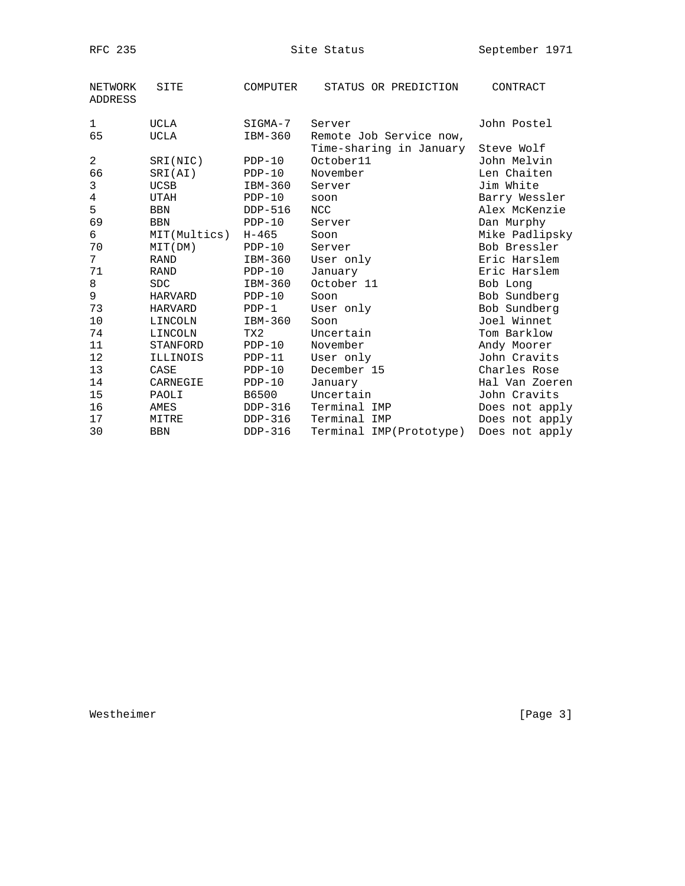| <b>NETWORK</b><br>ADDRESS | SITE         | COMPUTER        | STATUS OR PREDICTION    | CONTRACT       |
|---------------------------|--------------|-----------------|-------------------------|----------------|
| $\mathbf{1}$              | UCLA         | SIGMA-7         | Server                  | John Postel    |
| 65<br>UCLA                |              | IBM-360         | Remote Job Service now, |                |
|                           |              |                 | Time-sharing in January | Steve Wolf     |
| $\overline{2}$            | SRI(NIC)     | $PDP-10$        | October11               | John Melvin    |
| 66                        | SRI(AI)      | $PDP-10$        | November                | Len Chaiten    |
| 3                         | <b>UCSB</b>  | IBM-360         | Server                  | Jim White      |
| $\overline{4}$            | UTAH         | $PDP-10$        | soon                    | Barry Wessler  |
| 5                         | BBN          | DDP-516         | <b>NCC</b>              | Alex McKenzie  |
| 69                        | BBN          | $PDP-10$        | Server                  | Dan Murphy     |
| 6                         | MIT(Multics) | $H - 465$       | Soon                    | Mike Padlipsky |
| 70                        | MIT(DM)      | $PDP-10$        | Server                  | Bob Bressler   |
| 7                         | RAND         | IBM-360         | User only               | Eric Harslem   |
| 71                        | RAND         | $PDP-10$        | January                 | Eric Harslem   |
| 8                         | <b>SDC</b>   | IBM-360         | October 11              | Bob Long       |
| 9                         | HARVARD      | $PDP-10$        | Soon                    | Bob Sundberg   |
| 73                        | HARVARD      | $PDP-1$         | User only               | Bob Sundberg   |
| 10                        | LINCOLN      | IBM-360         | Soon                    | Joel Winnet    |
| 74                        | LINCOLN      | TX <sub>2</sub> | Uncertain               | Tom Barklow    |
| 11                        | STANFORD     | $PDP-10$        | November                | Andy Moorer    |
| 12                        | ILLINOIS     | $PDP-11$        | User only               | John Cravits   |
| 13                        | CASE         | $PDP-10$        | December 15             | Charles Rose   |
| 14                        | CARNEGIE     | $PDP-10$        | January                 | Hal Van Zoeren |
| 15                        | PAOLI        | B6500           | Uncertain               | John Cravits   |
| 16                        | AMES         | $DDP-316$       | Terminal IMP            | Does not apply |
| 17                        | MITRE        | $DDP-316$       | Terminal IMP            | Does not apply |
| 30                        | <b>BBN</b>   | $DDP-316$       | Terminal IMP(Prototype) | Does not apply |

Westheimer [Page 3]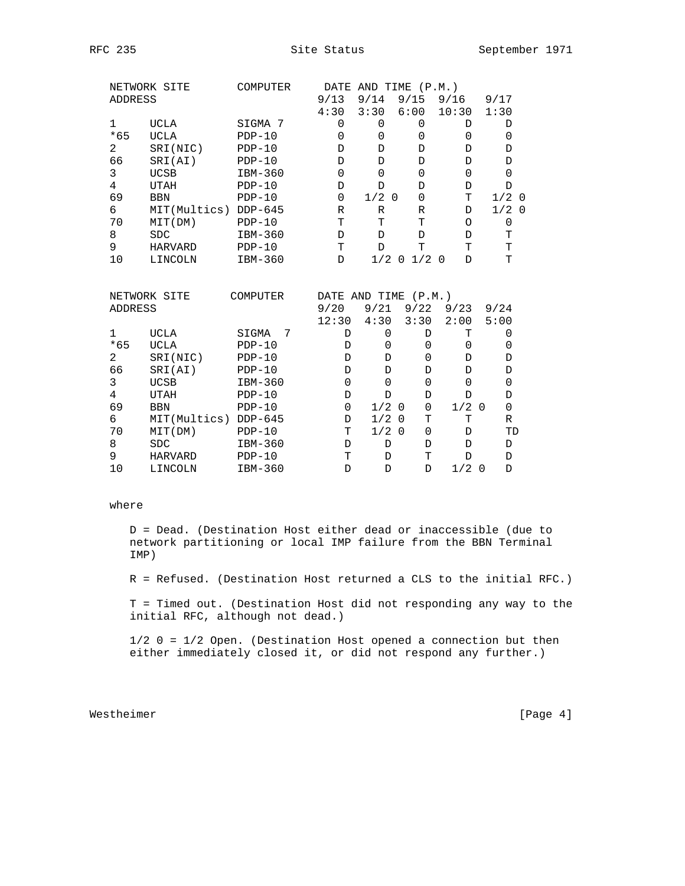|                | NETWORK SITE   | COMPUTER   | DATE           | AND TIME        |                           | (P.M.)      |                         |  |
|----------------|----------------|------------|----------------|-----------------|---------------------------|-------------|-------------------------|--|
| <b>ADDRESS</b> |                |            | 9/13           | 9/14            | 9/15                      | 9/16        | 9/17                    |  |
|                |                |            | 4:30           | 3:30            | 6:00                      | 10:30       | 1:30                    |  |
| $\mathbf 1$    | <b>UCLA</b>    | SIGMA 7    | 0              | 0               | 0                         | D           | D                       |  |
| $*65$          | <b>UCLA</b>    | $PDP-10$   | 0              | 0               | 0                         | 0           | 0                       |  |
| $\overline{2}$ | SRI(NIC)       | $PDP-10$   | D              | D               | D                         | D           | D                       |  |
| 66             | SRI(AI)        | $PDP-10$   | D              | D               | D                         | D           | D                       |  |
| 3              | <b>UCSB</b>    | IBM-360    | $\mathbf 0$    | $\mathbf 0$     | $\mathbf 0$               | $\mathbf 0$ | $\mathbf 0$             |  |
| $\overline{4}$ | <b>UTAH</b>    | $PDP-10$   | D              | D               | D                         | D           | D                       |  |
| 69             | <b>BBN</b>     | $PDP-10$   | 0              | 1/2<br>$\Omega$ | 0                         | Т           | $1/2$ 0                 |  |
| 6              | MIT(Multics)   | $DDP-645$  | R              | $\mathbb R$     | R                         | D           | $1/2$ 0                 |  |
| 70             | MIT(DM)        | $PDP-10$   | T              | $\mathbf T$     | T                         | $\circ$     | 0                       |  |
| 8              | ${\tt SDC}$    | IBM-360    | D              | D               | D                         | D           | Т                       |  |
| 9              | <b>HARVARD</b> | $PDP-10$   | T              | D               | $\mathbf T$               | T           | $\mathbf T$             |  |
| 10             | LINCOLN        | IBM-360    | D              | 1/2             | $1/2$ 0<br>$\overline{0}$ | D           | T                       |  |
|                | NETWORK SITE   | COMPUTER   |                | DATE AND TIME   | (P.M.)                    |             |                         |  |
| <b>ADDRESS</b> |                |            | 9/20           | 9/21            | 9/22                      | 9/23        | 9/24                    |  |
|                |                |            | 12:30          | 4:30            | 3:30                      | 2:00        | 5:00                    |  |
| $\mathbf{1}$   | <b>UCLA</b>    | 7<br>SIGMA | D              | 0               | D                         | Т           | 0                       |  |
| $*65$          | <b>UCLA</b>    | $PDP-10$   | D              | 0               | 0                         | 0           | $\mathbf 0$             |  |
| $\overline{2}$ | SRI(NIC)       | $PDP-10$   | D              | D               | 0                         | D           | D                       |  |
| 66             | SRI(AI)        | $PDP-10$   | D              | D               | D                         | D           | D                       |  |
| 3              | <b>UCSB</b>    | IBM-360    | $\mathbf 0$    | $\Omega$        | 0                         | $\Omega$    | 0                       |  |
| $\overline{4}$ | <b>UTAH</b>    | $PDP-10$   | D              | D               | D                         | D           | D                       |  |
| 69             | <b>BBN</b>     | $PDP-10$   | $\overline{0}$ | 1/2             | 0<br>$\Omega$             | 1/2         | $\mathbf 0$<br>$\Omega$ |  |
| 6              | MIT(Multics)   | $DDP-645$  | D              | 1/2             | Т<br>$\Omega$             | T           | R                       |  |
| 70             | MIT(DM)        | $PDP-10$   | т              | 1/2             | 0<br>$\Omega$             | D           | TD                      |  |
| 8              | <b>SDC</b>     | IBM-360    | D              | D               | D                         | D           | D                       |  |
|                |                |            |                |                 |                           |             |                         |  |

 9 HARVARD PDP-10 T D T D D 10 LINCOLN IBM-360 D D D 1/2 0 D

## where

 D = Dead. (Destination Host either dead or inaccessible (due to network partitioning or local IMP failure from the BBN Terminal IMP)

R = Refused. (Destination Host returned a CLS to the initial RFC.)

 T = Timed out. (Destination Host did not responding any way to the initial RFC, although not dead.)

 1/2 0 = 1/2 Open. (Destination Host opened a connection but then either immediately closed it, or did not respond any further.)

Westheimer [Page 4]